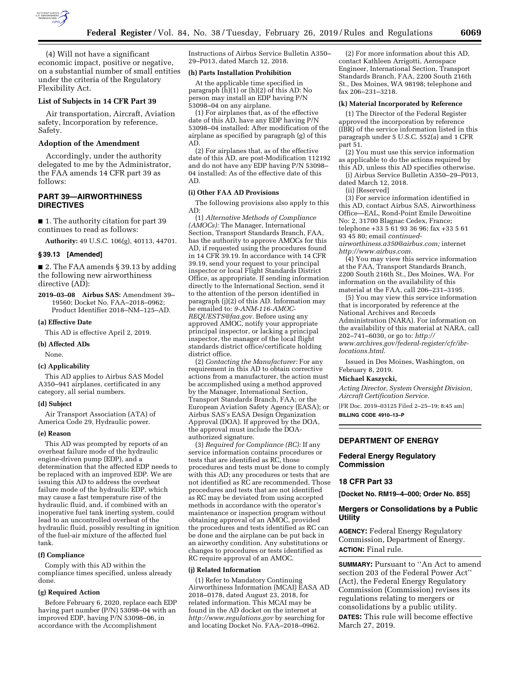

(4) Will not have a significant economic impact, positive or negative, on a substantial number of small entities under the criteria of the Regulatory Flexibility Act.

# **List of Subjects in 14 CFR Part 39**

Air transportation, Aircraft, Aviation safety, Incorporation by reference, Safety.

# **Adoption of the Amendment**

Accordingly, under the authority delegated to me by the Administrator, the FAA amends 14 CFR part 39 as follows:

# **PART 39—AIRWORTHINESS DIRECTIVES**

■ 1. The authority citation for part 39 continues to read as follows:

**Authority:** 49 U.S.C. 106(g), 40113, 44701.

#### **§ 39.13 [Amended]**

■ 2. The FAA amends § 39.13 by adding the following new airworthiness directive (AD):

**2019–03–08 Airbus SAS:** Amendment 39– 19560; Docket No. FAA–2018–0962; Product Identifier 2018–NM–125–AD.

#### **(a) Effective Date**

This AD is effective April 2, 2019.

#### **(b) Affected ADs**

None.

#### **(c) Applicability**

This AD applies to Airbus SAS Model A350–941 airplanes, certificated in any category, all serial numbers.

#### **(d) Subject**

Air Transport Association (ATA) of America Code 29, Hydraulic power.

### **(e) Reason**

This AD was prompted by reports of an overheat failure mode of the hydraulic engine-driven pump (EDP), and a determination that the affected EDP needs to be replaced with an improved EDP. We are issuing this AD to address the overheat failure mode of the hydraulic EDP, which may cause a fast temperature rise of the hydraulic fluid, and, if combined with an inoperative fuel tank inerting system, could lead to an uncontrolled overheat of the hydraulic fluid, possibly resulting in ignition of the fuel-air mixture of the affected fuel tank.

#### **(f) Compliance**

Comply with this AD within the compliance times specified, unless already done.

# **(g) Required Action**

Before February 6, 2020, replace each EDP having part number  $(P/N)$  53098–04 with an improved EDP, having P/N 53098–06, in accordance with the Accomplishment

Instructions of Airbus Service Bulletin A350– 29–P013, dated March 12, 2018.

### **(h) Parts Installation Prohibition**

At the applicable time specified in paragraph (h)(1) or (h)(2) of this AD: No person may install an EDP having P/N 53098–04 on any airplane.

(1) For airplanes that, as of the effective date of this AD, have any EDP having P/N 53098–04 installed: After modification of the airplane as specified by paragraph (g) of this AD.

(2) For airplanes that, as of the effective date of this AD, are post-Modification 112192 and do not have any EDP having P/N 53098– 04 installed: As of the effective date of this AD.

#### **(i) Other FAA AD Provisions**

The following provisions also apply to this AD:

(1) *Alternative Methods of Compliance (AMOCs):* The Manager, International Section, Transport Standards Branch, FAA, has the authority to approve AMOCs for this AD, if requested using the procedures found in 14 CFR 39.19. In accordance with 14 CFR 39.19, send your request to your principal inspector or local Flight Standards District Office, as appropriate. If sending information directly to the International Section, send it to the attention of the person identified in paragraph (j)(2) of this AD. Information may be emailed to: *[9-ANM-116-AMOC-](mailto:9-ANM-116-AMOC-REQUESTS@faa.gov)[REQUESTS@faa.gov.](mailto:9-ANM-116-AMOC-REQUESTS@faa.gov)* Before using any approved AMOC, notify your appropriate principal inspector, or lacking a principal inspector, the manager of the local flight standards district office/certificate holding district office.

(2) *Contacting the Manufacturer:* For any requirement in this AD to obtain corrective actions from a manufacturer, the action must be accomplished using a method approved by the Manager, International Section, Transport Standards Branch, FAA; or the European Aviation Safety Agency (EASA); or Airbus SAS's EASA Design Organization Approval (DOA). If approved by the DOA, the approval must include the DOAauthorized signature.

(3) *Required for Compliance (RC):* If any service information contains procedures or tests that are identified as RC, those procedures and tests must be done to comply with this AD; any procedures or tests that are not identified as RC are recommended. Those procedures and tests that are not identified as RC may be deviated from using accepted methods in accordance with the operator's maintenance or inspection program without obtaining approval of an AMOC, provided the procedures and tests identified as RC can be done and the airplane can be put back in an airworthy condition. Any substitutions or changes to procedures or tests identified as RC require approval of an AMOC.

#### **(j) Related Information**

(1) Refer to Mandatory Continuing Airworthiness Information (MCAI) EASA AD 2018–0178, dated August 23, 2018, for related information. This MCAI may be found in the AD docket on the internet at *<http://www.regulations.gov>*by searching for and locating Docket No. FAA–2018–0962.

(2) For more information about this AD, contact Kathleen Arrigotti, Aerospace Engineer, International Section, Transport Standards Branch, FAA, 2200 South 216th St., Des Moines, WA 98198; telephone and fax 206–231–3218.

## **(k) Material Incorporated by Reference**

(1) The Director of the Federal Register approved the incorporation by reference (IBR) of the service information listed in this paragraph under 5 U.S.C. 552(a) and 1 CFR part 51.

(2) You must use this service information as applicable to do the actions required by this AD, unless this AD specifies otherwise.

(i) Airbus Service Bulletin A350–29–P013, dated March 12, 2018.

(ii) [Reserved]

(3) For service information identified in this AD, contact Airbus SAS, Airworthiness Office—EAL, Rond-Point Emile Dewoitine No: 2, 31700 Blagnac Cedex, France; telephone +33 5 61 93 36 96; fax +33 5 61 93 45 80; email *[continued-](mailto:continued-airworthiness.a350@airbus.com)*

*[airworthiness.a350@airbus.com;](mailto:continued-airworthiness.a350@airbus.com)* internet *[http://www.airbus.com.](http://www.airbus.com)* 

(4) You may view this service information at the FAA, Transport Standards Branch, 2200 South 216th St., Des Moines, WA. For information on the availability of this material at the FAA, call 206–231–3195.

(5) You may view this service information that is incorporated by reference at the National Archives and Records Administration (NARA). For information on the availability of this material at NARA, call 202–741–6030, or go to: *[http://](http://www.archives.gov/federal-register/cfr/ibr-locations.html) [www.archives.gov/federal-register/cfr/ibr](http://www.archives.gov/federal-register/cfr/ibr-locations.html)[locations.html.](http://www.archives.gov/federal-register/cfr/ibr-locations.html)* 

Issued in Des Moines, Washington, on February 8, 2019.

## **Michael Kaszycki,**

*Acting Director, System Oversight Division, Aircraft Certification Service.* 

[FR Doc. 2019–03125 Filed 2–25–19; 8:45 am] **BILLING CODE 4910–13–P** 

## **DEPARTMENT OF ENERGY**

# **Federal Energy Regulatory Commission**

## **18 CFR Part 33**

**[Docket No. RM19–4–000; Order No. 855]** 

## **Mergers or Consolidations by a Public Utility**

**AGENCY:** Federal Energy Regulatory Commission, Department of Energy. **ACTION:** Final rule.

**SUMMARY: Pursuant to "An Act to amend** section 203 of the Federal Power Act'' (Act), the Federal Energy Regulatory Commission (Commission) revises its regulations relating to mergers or consolidations by a public utility. **DATES:** This rule will become effective March 27, 2019.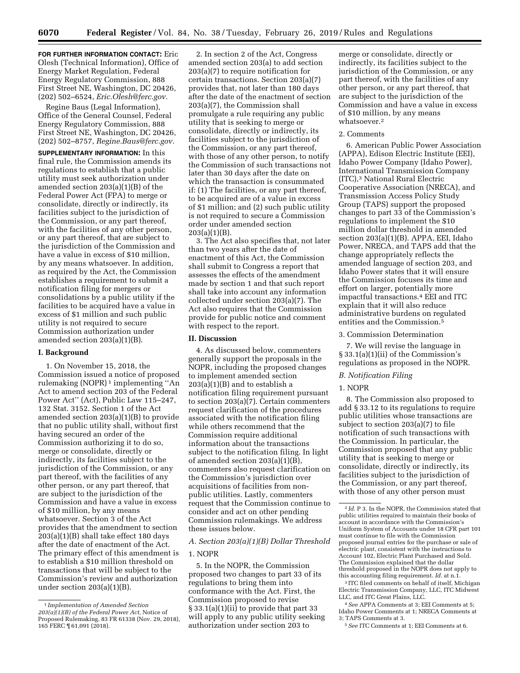**FOR FURTHER INFORMATION CONTACT:** Eric Olesh (Technical Information), Office of Energy Market Regulation, Federal Energy Regulatory Commission, 888 First Street NE, Washington, DC 20426, (202) 502–6524, *[Eric.Olesh@ferc.gov.](mailto:Eric.Olesh@ferc.gov)* 

Regine Baus (Legal Information), Office of the General Counsel, Federal Energy Regulatory Commission, 888 First Street NE, Washington, DC 20426, (202) 502–8757, *[Regine.Baus@ferc.gov.](mailto:Regine.Baus@ferc.gov)* 

**SUPPLEMENTARY INFORMATION:** In this final rule, the Commission amends its regulations to establish that a public utility must seek authorization under amended section 203(a)(1)(B) of the Federal Power Act (FPA) to merge or consolidate, directly or indirectly, its facilities subject to the jurisdiction of the Commission, or any part thereof, with the facilities of any other person, or any part thereof, that are subject to the jurisdiction of the Commission and have a value in excess of \$10 million, by any means whatsoever. In addition, as required by the Act, the Commission establishes a requirement to submit a notification filing for mergers or consolidations by a public utility if the facilities to be acquired have a value in excess of \$1 million and such public utility is not required to secure Commission authorization under amended section 203(a)(1)(B).

### **I. Background**

1. On November 15, 2018, the Commission issued a notice of proposed rulemaking (NOPR) 1 implementing ''An Act to amend section 203 of the Federal Power Act'' (Act), Public Law 115–247, 132 Stat. 3152. Section 1 of the Act amended section 203(a)(1)(B) to provide that no public utility shall, without first having secured an order of the Commission authorizing it to do so, merge or consolidate, directly or indirectly, its facilities subject to the jurisdiction of the Commission, or any part thereof, with the facilities of any other person, or any part thereof, that are subject to the jurisdiction of the Commission and have a value in excess of \$10 million, by any means whatsoever. Section 3 of the Act provides that the amendment to section  $203(a)(1)(B)$  shall take effect 180 days after the date of enactment of the Act. The primary effect of this amendment is to establish a \$10 million threshold on transactions that will be subject to the Commission's review and authorization under section 203(a)(1)(B).

2. In section 2 of the Act, Congress amended section 203(a) to add section 203(a)(7) to require notification for certain transactions. Section 203(a)(7) provides that, not later than 180 days after the date of the enactment of section 203(a)(7), the Commission shall promulgate a rule requiring any public utility that is seeking to merge or consolidate, directly or indirectly, its facilities subject to the jurisdiction of the Commission, or any part thereof, with those of any other person, to notify the Commission of such transactions not later than 30 days after the date on which the transaction is consummated if: (1) The facilities, or any part thereof, to be acquired are of a value in excess of \$1 million; and (2) such public utility is not required to secure a Commission order under amended section 203(a)(1)(B).

3. The Act also specifies that, not later than two years after the date of enactment of this Act, the Commission shall submit to Congress a report that assesses the effects of the amendment made by section 1 and that such report shall take into account any information collected under section 203(a)(7). The Act also requires that the Commission provide for public notice and comment with respect to the report.

# **II. Discussion**

4. As discussed below, commenters generally support the proposals in the NOPR, including the proposed changes to implement amended section  $203(a)(1)(B)$  and to establish a notification filing requirement pursuant to section  $203(a)\overline{(7)}$ . Certain commenters request clarification of the procedures associated with the notification filing while others recommend that the Commission require additional information about the transactions subject to the notification filing. In light of amended section 203(a)(1)(B), commenters also request clarification on the Commission's jurisdiction over acquisitions of facilities from nonpublic utilities. Lastly, commenters request that the Commission continue to consider and act on other pending Commission rulemakings. We address these issues below.

# *A. Section 203(a)(1)(B) Dollar Threshold*

## 1. NOPR

5. In the NOPR, the Commission proposed two changes to part 33 of its regulations to bring them into conformance with the Act. First, the Commission proposed to revise § 33.1(a)(1)(ii) to provide that part 33 will apply to any public utility seeking authorization under section 203 to

merge or consolidate, directly or indirectly, its facilities subject to the jurisdiction of the Commission, or any part thereof, with the facilities of any other person, or any part thereof, that are subject to the jurisdiction of the Commission and have a value in excess of \$10 million, by any means whatsoever.2

### 2. Comments

6. American Public Power Association (APPA), Edison Electric Institute (EEI), Idaho Power Company (Idaho Power), International Transmission Company (ITC),3 National Rural Electric Cooperative Association (NRECA), and Transmission Access Policy Study Group (TAPS) support the proposed changes to part 33 of the Commission's regulations to implement the \$10 million dollar threshold in amended section 203(a)(1)(B). APPA, EEI, Idaho Power, NRECA, and TAPS add that the change appropriately reflects the amended language of section 203, and Idaho Power states that it will ensure the Commission focuses its time and effort on larger, potentially more impactful transactions.4 EEI and ITC explain that it will also reduce administrative burdens on regulated entities and the Commission.5

#### 3. Commission Determination

7. We will revise the language in § 33.1(a)(1)(ii) of the Commission's regulations as proposed in the NOPR.

# *B. Notification Filing*

# 1. NOPR

8. The Commission also proposed to add § 33.12 to its regulations to require public utilities whose transactions are subject to section 203(a)(7) to file notification of such transactions with the Commission. In particular, the Commission proposed that any public utility that is seeking to merge or consolidate, directly or indirectly, its facilities subject to the jurisdiction of the Commission, or any part thereof, with those of any other person must

Electric Transmission Company, LLC, ITC Midwest LLC, and ITC Great Plains, LLC. 4*See* APPA Comments at 3; EEI Comments at 5;

Idaho Power Comments at 1; NRECA Comments at 3; TAPS Comments at 3.

5*See* ITC Comments at 1; EEI Comments at 6.

<sup>1</sup> *Implementation of Amended Section 203(a)(1)(B) of the Federal Power Act,* Notice of Proposed Rulemaking, 83 FR 61338 (Nov. 29, 2018), 165 FERC ¶ 61,091 (2018).

<sup>2</sup> *Id.* P 3. In the NOPR, the Commission stated that public utilities required to maintain their books of account in accordance with the Commission's Uniform System of Accounts under 18 CFR part 101 must continue to file with the Commission proposed journal entries for the purchase or sale of electric plant, consistent with the instructions to Account 102, Electric Plant Purchased and Sold. The Commission explained that the dollar threshold proposed in the NOPR does not apply to this accounting filing requirement. *Id.* at n.1. 3 ITC filed comments on behalf of itself, Michigan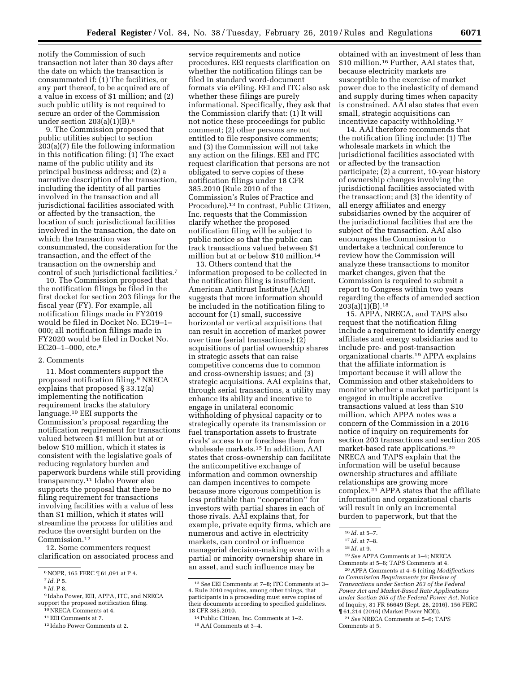notify the Commission of such transaction not later than 30 days after the date on which the transaction is consummated if: (1) The facilities, or any part thereof, to be acquired are of a value in excess of \$1 million; and (2) such public utility is not required to secure an order of the Commission under section  $203(a)(1)(B).<sup>6</sup>$ 

9. The Commission proposed that public utilities subject to section 203(a)(7) file the following information in this notification filing: (1) The exact name of the public utility and its principal business address; and (2) a narrative description of the transaction, including the identity of all parties involved in the transaction and all jurisdictional facilities associated with or affected by the transaction, the location of such jurisdictional facilities involved in the transaction, the date on which the transaction was consummated, the consideration for the transaction, and the effect of the transaction on the ownership and control of such jurisdictional facilities.7

10. The Commission proposed that the notification filings be filed in the first docket for section 203 filings for the fiscal year (FY). For example, all notification filings made in FY2019 would be filed in Docket No. EC19–1– 000; all notification filings made in FY2020 would be filed in Docket No. EC20–1–000, etc.8

#### 2. Comments

11. Most commenters support the proposed notification filing.9 NRECA explains that proposed § 33.12(a) implementing the notification requirement tracks the statutory language.10 EEI supports the Commission's proposal regarding the notification requirement for transactions valued between \$1 million but at or below \$10 million, which it states is consistent with the legislative goals of reducing regulatory burden and paperwork burdens while still providing transparency.11 Idaho Power also supports the proposal that there be no filing requirement for transactions involving facilities with a value of less than \$1 million, which it states will streamline the process for utilities and reduce the oversight burden on the Commission.12

12. Some commenters request clarification on associated process and

9 Idaho Power, EEI, APPA, ITC, and NRECA support the proposed notification filing.

11EEI Comments at 7.

service requirements and notice procedures. EEI requests clarification on whether the notification filings can be filed in standard word-document formats via eFiling. EEI and ITC also ask whether these filings are purely informational. Specifically, they ask that the Commission clarify that: (1) It will not notice these proceedings for public comment; (2) other persons are not entitled to file responsive comments; and (3) the Commission will not take any action on the filings. EEI and ITC request clarification that persons are not obligated to serve copies of these notification filings under 18 CFR 385.2010 (Rule 2010 of the Commission's Rules of Practice and Procedure).13 In contrast, Public Citizen, Inc. requests that the Commission clarify whether the proposed notification filing will be subject to public notice so that the public can track transactions valued between \$1 million but at or below \$10 million.14

13. Others contend that the information proposed to be collected in the notification filing is insufficient. American Antitrust Institute (AAI) suggests that more information should be included in the notification filing to account for (1) small, successive horizontal or vertical acquisitions that can result in accretion of market power over time (serial transactions); (2) acquisitions of partial ownership shares in strategic assets that can raise competitive concerns due to common and cross-ownership issues; and (3) strategic acquisitions. AAI explains that, through serial transactions, a utility may enhance its ability and incentive to engage in unilateral economic withholding of physical capacity or to strategically operate its transmission or fuel transportation assets to frustrate rivals' access to or foreclose them from wholesale markets.15 In addition, AAI states that cross-ownership can facilitate the anticompetitive exchange of information and common ownership can dampen incentives to compete because more vigorous competition is less profitable than ''cooperation'' for investors with partial shares in each of those rivals. AAI explains that, for example, private equity firms, which are numerous and active in electricity markets, can control or influence managerial decision-making even with a partial or minority ownership share in an asset, and such influence may be

obtained with an investment of less than \$10 million.16 Further, AAI states that, because electricity markets are susceptible to the exercise of market power due to the inelasticity of demand and supply during times when capacity is constrained. AAI also states that even small, strategic acquisitions can incentivize capacity withholding.17

14. AAI therefore recommends that the notification filing include: (1) The wholesale markets in which the jurisdictional facilities associated with or affected by the transaction participate; (2) a current, 10-year history of ownership changes involving the jurisdictional facilities associated with the transaction; and (3) the identity of all energy affiliates and energy subsidiaries owned by the acquirer of the jurisdictional facilities that are the subject of the transaction. AAI also encourages the Commission to undertake a technical conference to review how the Commission will analyze these transactions to monitor market changes, given that the Commission is required to submit a report to Congress within two years regarding the effects of amended section  $203(a)(1)(B).<sup>18</sup>$ 

15. APPA, NRECA, and TAPS also request that the notification filing include a requirement to identify energy affiliates and energy subsidiaries and to include pre- and post-transaction organizational charts.19 APPA explains that the affiliate information is important because it will allow the Commission and other stakeholders to monitor whether a market participant is engaged in multiple accretive transactions valued at less than \$10 million, which APPA notes was a concern of the Commission in a 2016 notice of inquiry on requirements for section 203 transactions and section 205 market-based rate applications.20 NRECA and TAPS explain that the information will be useful because ownership structures and affiliate relationships are growing more complex.21 APPA states that the affiliate information and organizational charts will result in only an incremental burden to paperwork, but that the

19*See* APPA Comments at 3–4; NRECA Comments at 5–6; TAPS Comments at 4.

20APPA Comments at 4–5 (citing *Modifications to Commission Requirements for Review of Transactions under Section 203 of the Federal Power Act and Market-Based Rate Applications under Section 205 of the Federal Power Act,* Notice of Inquiry, 81 FR 66649 (Sept. 28, 2016), 156 FERC ¶ 61,214 (2016) (Market Power NOI)).

 $^6$  NOPR, 165 FERC  $\P$  61,091 at P 4.

<sup>7</sup> *Id.* P 5.

<sup>8</sup> *Id.* P 8.

<sup>10</sup>NRECA Comments at 4.

<sup>12</sup> Idaho Power Comments at 2.

<sup>13</sup>*See* EEI Comments at 7–8; ITC Comments at 3– 4. Rule 2010 requires, among other things, that participants in a proceeding must serve copies of their documents according to specified guidelines. 18 CFR 385.2010.

<sup>14</sup>Public Citizen, Inc. Comments at 1–2. 15AAI Comments at 3–4.

<sup>16</sup> *Id.* at 5–7.

<sup>17</sup> *Id.* at 7–8.

<sup>18</sup> *Id.* at 9.

<sup>21</sup>*See* NRECA Comments at 5–6; TAPS Comments at 5.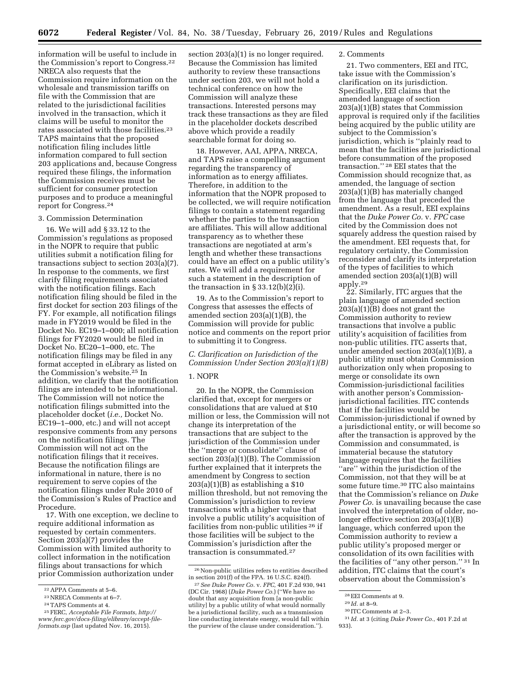**6072 Federal Register** / Vol. 84, No. 38 / Tuesday, February 26, 2019 / Rules and Regulations

information will be useful to include in the Commission's report to Congress.22 NRECA also requests that the Commission require information on the wholesale and transmission tariffs on file with the Commission that are related to the jurisdictional facilities involved in the transaction, which it claims will be useful to monitor the rates associated with those facilities.23 TAPS maintains that the proposed notification filing includes little information compared to full section 203 applications and, because Congress required these filings, the information the Commission receives must be sufficient for consumer protection purposes and to produce a meaningful report for Congress.24

## 3. Commission Determination

16. We will add § 33.12 to the Commission's regulations as proposed in the NOPR to require that public utilities submit a notification filing for transactions subject to section 203(a)(7). In response to the comments, we first clarify filing requirements associated with the notification filings. Each notification filing should be filed in the first docket for section 203 filings of the FY. For example, all notification filings made in FY2019 would be filed in the Docket No. EC19–1–000; all notification filings for FY2020 would be filed in Docket No. EC20–1–000, etc. The notification filings may be filed in any format accepted in eLibrary as listed on the Commission's website.25 In addition, we clarify that the notification filings are intended to be informational. The Commission will not notice the notification filings submitted into the placeholder docket (*i.e.,* Docket No. EC19–1–000, etc.) and will not accept responsive comments from any persons on the notification filings. The Commission will not act on the notification filings that it receives. Because the notification filings are informational in nature, there is no requirement to serve copies of the notification filings under Rule 2010 of the Commission's Rules of Practice and Procedure.

17. With one exception, we decline to require additional information as requested by certain commenters. Section 203(a)(7) provides the Commission with limited authority to collect information in the notification filings about transactions for which prior Commission authorization under

22APPA Comments at 5–6. 23NRECA Comments at 6–7. 24TAPS Comments at 4. 25FERC, *Acceptable File Formats, [http://](http://www.ferc.gov/docs-filing/elibrary/accept-file-formats.asp)*

section 203(a)(1) is no longer required. Because the Commission has limited authority to review these transactions under section 203, we will not hold a technical conference on how the Commission will analyze these transactions. Interested persons may track these transactions as they are filed in the placeholder dockets described above which provide a readily searchable format for doing so.

18. However, AAI, APPA, NRECA, and TAPS raise a compelling argument regarding the transparency of information as to energy affiliates. Therefore, in addition to the information that the NOPR proposed to be collected, we will require notification filings to contain a statement regarding whether the parties to the transaction are affiliates. This will allow additional transparency as to whether these transactions are negotiated at arm's length and whether these transactions could have an effect on a public utility's rates. We will add a requirement for such a statement in the description of the transaction in  $\S 33.12(b)(2)(i)$ .

19. As to the Commission's report to Congress that assesses the effects of amended section 203(a)(1)(B), the Commission will provide for public notice and comments on the report prior to submitting it to Congress.

*C. Clarification on Jurisdiction of the Commission Under Section 203(a)(1)(B)* 

#### 1. NOPR

20. In the NOPR, the Commission clarified that, except for mergers or consolidations that are valued at \$10 million or less, the Commission will not change its interpretation of the transactions that are subject to the jurisdiction of the Commission under the ''merge or consolidate'' clause of section 203(a)(1)(B). The Commission further explained that it interprets the amendment by Congress to section  $203(a)(1)(B)$  as establishing a \$10 million threshold, but not removing the Commission's jurisdiction to review transactions with a higher value that involve a public utility's acquisition of facilities from non-public utilities 26 if those facilities will be subject to the Commission's jurisdiction after the transaction is consummated.27

## 2. Comments

21. Two commenters, EEI and ITC, take issue with the Commission's clarification on its jurisdiction. Specifically, EEI claims that the amended language of section 203(a)(1)(B) states that Commission approval is required only if the facilities being acquired by the public utility are subject to the Commission's jurisdiction, which is ''plainly read to mean that the facilities are jurisdictional before consummation of the proposed transaction.'' 28 EEI states that the Commission should recognize that, as amended, the language of section 203(a)(1)(B) has materially changed from the language that preceded the amendment. As a result, EEI explains that the *Duke Power Co.* v. *FPC* case cited by the Commission does not squarely address the question raised by the amendment. EEI requests that, for regulatory certainty, the Commission reconsider and clarify its interpretation of the types of facilities to which amended section 203(a)(1)(B) will apply.29

22. Similarly, ITC argues that the plain language of amended section 203(a)(1)(B) does not grant the Commission authority to review transactions that involve a public utility's acquisition of facilities from non-public utilities. ITC asserts that, under amended section 203(a)(1)(B), a public utility must obtain Commission authorization only when proposing to merge or consolidate its own Commission-jurisdictional facilities with another person's Commissionjurisdictional facilities. ITC contends that if the facilities would be Commission-jurisdictional if owned by a jurisdictional entity, or will become so after the transaction is approved by the Commission and consummated, is immaterial because the statutory language requires that the facilities ''are'' within the jurisdiction of the Commission, not that they will be at some future time.30 ITC also maintains that the Commission's reliance on *Duke Power Co.* is unavailing because the case involved the interpretation of older, nolonger effective section 203(a)(1)(B) language, which conferred upon the Commission authority to review a public utility's proposed merger or consolidation of its own facilities with the facilities of ''any other person.'' 31 In addition, ITC claims that the court's observation about the Commission's

*[www.ferc.gov/docs-filing/elibrary/accept-file](http://www.ferc.gov/docs-filing/elibrary/accept-file-formats.asp)[formats.asp](http://www.ferc.gov/docs-filing/elibrary/accept-file-formats.asp)* (last updated Nov. 16, 2015).

<sup>26</sup>Non-public utilities refers to entities described in section 201(f) of the FPA. 16 U.S.C. 824(f).

<sup>27</sup>*See Duke Power Co.* v. *FPC,* 401 F.2d 930, 941 (DC Cir. 1968) (*Duke Power Co.*) (''We have no doubt that any acquisition from [a non-public utility] by a public utility of what would normally be a jurisdictional facility, such as a transmission line conducting interstate energy, would fall within the purview of the clause under consideration.'').

<sup>28</sup>EEI Comments at 9.

<sup>29</sup> *Id.* at 8–9.

<sup>30</sup> ITC Comments at 2–3.

<sup>31</sup> *Id.* at 3 (citing *Duke Power Co.*, 401 F.2d at 933).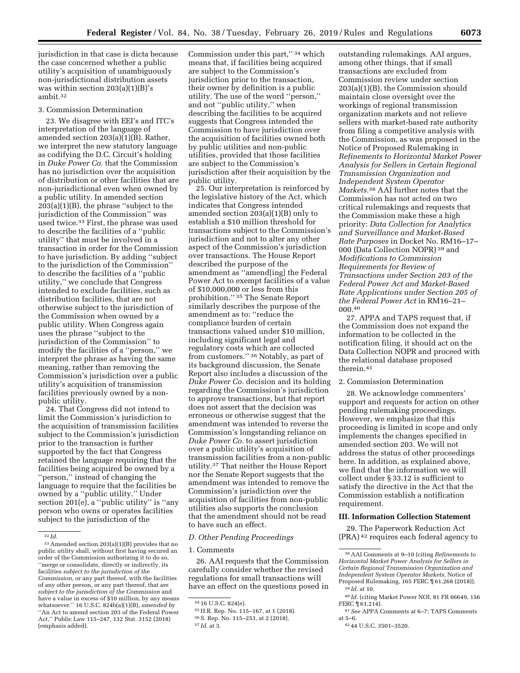jurisdiction in that case is dicta because the case concerned whether a public utility's acquisition of unambiguously non-jurisdictional distribution assets was within section 203(a)(1)(B)'s ambit.32

## 3. Commission Determination

23. We disagree with EEI's and ITC's interpretation of the language of amended section 203(a)(1)(B). Rather, we interpret the new statutory language as codifying the D.C. Circuit's holding in *Duke Power Co.* that the Commission has no jurisdiction over the acquisition of distribution or other facilities that are non-jurisdictional even when owned by a public utility. In amended section 203(a)(1)(B), the phrase ''subject to the jurisdiction of the Commission'' was used twice.<sup>33</sup> First, the phrase was used to describe the facilities of a ''public utility'' that must be involved in a transaction in order for the Commission to have jurisdiction. By adding ''subject to the jurisdiction of the Commission'' to describe the facilities of a ''public utility,'' we conclude that Congress intended to exclude facilities, such as distribution facilities, that are not otherwise subject to the jurisdiction of the Commission when owned by a public utility. When Congress again uses the phrase ''subject to the jurisdiction of the Commission'' to modify the facilities of a ''person,'' we interpret the phrase as having the same meaning, rather than removing the Commission's jurisdiction over a public utility's acquisition of transmission facilities previously owned by a nonpublic utility.

24. That Congress did not intend to limit the Commission's jurisdiction to the acquisition of transmission facilities subject to the Commission's jurisdiction prior to the transaction is further supported by the fact that Congress retained the language requiring that the facilities being acquired be owned by a ''person,'' instead of changing the language to require that the facilities be owned by a ''public utility.'' Under section 201(e), a ''public utility'' is ''any person who owns or operates facilities subject to the jurisdiction of the

Commission under this part,'' 34 which means that, if facilities being acquired are subject to the Commission's jurisdiction prior to the transaction, their owner by definition is a public utility. The use of the word ''person,'' and not ''public utility,'' when describing the facilities to be acquired suggests that Congress intended the Commission to have jurisdiction over the acquisition of facilities owned both by public utilities and non-public utilities, provided that those facilities are subject to the Commission's jurisdiction after their acquisition by the public utility.

25. Our interpretation is reinforced by the legislative history of the Act, which indicates that Congress intended amended section 203(a)(1)(B) only to establish a \$10 million threshold for transactions subject to the Commission's jurisdiction and not to alter any other aspect of the Commission's jurisdiction over transactions. The House Report described the purpose of the amendment as ''amend[ing] the Federal Power Act to exempt facilities of a value of \$10,000,000 or less from this prohibition.'' 35 The Senate Report similarly describes the purpose of the amendment as to: ''reduce the compliance burden of certain transactions valued under \$10 million, including significant legal and regulatory costs which are collected from customers.'' 36 Notably, as part of its background discussion, the Senate Report also includes a discussion of the *Duke Power Co.* decision and its holding regarding the Commission's jurisdiction to approve transactions, but that report does not assert that the decision was erroneous or otherwise suggest that the amendment was intended to reverse the Commission's longstanding reliance on *Duke Power Co.* to assert jurisdiction over a public utility's acquisition of transmission facilities from a non-public utility.37 That neither the House Report nor the Senate Report suggests that the amendment was intended to remove the Commission's jurisdiction over the acquisition of facilities from non-public utilities also supports the conclusion that the amendment should not be read to have such an effect.

### *D. Other Pending Proceedings*

# 1. Comments

26. AAI requests that the Commission carefully consider whether the revised regulations for small transactions will have an effect on the questions posed in

outstanding rulemakings. AAI argues, among other things, that if small transactions are excluded from Commission review under section 203(a)(1)(B), the Commission should maintain close oversight over the workings of regional transmission organization markets and not relieve sellers with market-based rate authority from filing a competitive analysis with the Commission, as was proposed in the Notice of Proposed Rulemaking in *Refinements to Horizontal Market Power Analysis for Sellers in Certain Regional Transmission Organization and Independent System Operator Markets.*38 AAI further notes that the Commission has not acted on two critical rulemakings and requests that the Commission make these a high priority: *Data Collection for Analytics and Surveillance and Market-Based Rate Purposes* in Docket No. RM16–17– 000 (Data Collection NOPR) 39 and *Modifications to Commission Requirements for Review of Transactions under Section 203 of the Federal Power Act and Market-Based Rate Applications under Section 205 of the Federal Power Act* in RM16–21– 000.40

27. APPA and TAPS request that, if the Commission does not expand the information to be collected in the notification filing, it should act on the Data Collection NOPR and proceed with the relational database proposed therein.41

## 2. Commission Determination

28. We acknowledge commenters' support and requests for action on other pending rulemaking proceedings. However, we emphasize that this proceeding is limited in scope and only implements the changes specified in amended section 203. We will not address the status of other proceedings here. In addition, as explained above, we find that the information we will collect under § 33.12 is sufficient to satisfy the directive in the Act that the Commission establish a notification requirement.

# **III. Information Collection Statement**

29. The Paperwork Reduction Act (PRA) 42 requires each federal agency to

- 40 *Id.* (citing Market Power NOI, 81 FR 66649, 156 FERC ¶ 61,214).
- 41*See* APPA Comments at 6–7; TAPS Comments at 5–6.

<sup>32</sup> *Id.* 

<sup>33</sup>Amended section 203(a)(1)(B) provides that no public utility shall, without first having secured an order of the Commission authorizing it to do so, ''merge or consolidate, directly or indirectly, its facilities *subject to the jurisdiction of the Commission,* or any part thereof, with the facilities of any other person, or any part thereof, that are *subject to the jurisdiction of the Commission* and have a value in excess of \$10 million, by any means whatsoever.'' 16 U.S.C. 824b(a)(1)(B), *amended by*  ''An Act to amend section 203 of the Federal Power Act,'' Public Law 115–247, 132 Stat. 3152 (2018) (emphasis added).

<sup>34</sup> 16 U.S.C. 824(e). 35H.R. Rep. No. 115–167, at 1 (2018). 36S. Rep. No. 115–253, at 2 (2018). 37 *Id.* at 3.

<sup>38</sup>AAI Comments at 9–10 (citing *Refinements to Horizontal Market Power Analysis for Sellers in Certain Regional Transmission Organization and Independent System Operator Markets,* Notice of Proposed Rulemaking, 165 FERC ¶ 61,268 (2018)). 39 *Id.* at 10.

<sup>42</sup> 44 U.S.C. 3501–3520.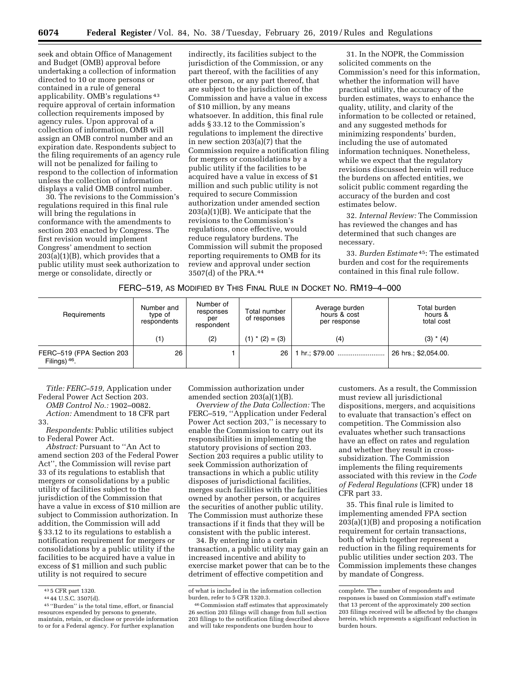seek and obtain Office of Management and Budget (OMB) approval before undertaking a collection of information directed to 10 or more persons or contained in a rule of general applicability. OMB's regulations 43 require approval of certain information collection requirements imposed by agency rules. Upon approval of a collection of information, OMB will assign an OMB control number and an expiration date. Respondents subject to the filing requirements of an agency rule will not be penalized for failing to respond to the collection of information unless the collection of information displays a valid OMB control number.

30. The revisions to the Commission's regulations required in this final rule will bring the regulations in conformance with the amendments to section 203 enacted by Congress. The first revision would implement Congress' amendment to section  $203(a)(1)(B)$ , which provides that a public utility must seek authorization to merge or consolidate, directly or

indirectly, its facilities subject to the jurisdiction of the Commission, or any part thereof, with the facilities of any other person, or any part thereof, that are subject to the jurisdiction of the Commission and have a value in excess of \$10 million, by any means whatsoever. In addition, this final rule adds § 33.12 to the Commission's regulations to implement the directive in new section 203(a)(7) that the Commission require a notification filing for mergers or consolidations by a public utility if the facilities to be acquired have a value in excess of \$1 million and such public utility is not required to secure Commission authorization under amended section 203(a)(1)(B). We anticipate that the revisions to the Commission's regulations, once effective, would reduce regulatory burdens. The Commission will submit the proposed reporting requirements to OMB for its review and approval under section 3507(d) of the PRA.44

31. In the NOPR, the Commission solicited comments on the Commission's need for this information, whether the information will have practical utility, the accuracy of the burden estimates, ways to enhance the quality, utility, and clarity of the information to be collected or retained, and any suggested methods for minimizing respondents' burden, including the use of automated information techniques. Nonetheless, while we expect that the regulatory revisions discussed herein will reduce the burdens on affected entities, we solicit public comment regarding the accuracy of the burden and cost estimates below.

32. *Internal Review:* The Commission has reviewed the changes and has determined that such changes are necessary.

33. *Burden Estimate* 45: The estimated burden and cost for the requirements contained in this final rule follow.

| Requirements                                 | Number and<br>type of<br>respondents | Number of<br>responses<br>per<br>respondent | Total number<br>of responses | Average burden<br>hours & cost<br>per response | Total burden<br>hours &<br>total cost |
|----------------------------------------------|--------------------------------------|---------------------------------------------|------------------------------|------------------------------------------------|---------------------------------------|
|                                              | (1)                                  | (2)                                         | $(1)$ * $(2) = (3)$          | (4)                                            | $(3) * (4)$                           |
| FERC-519 (FPA Section 203<br>Filings) $46$ . | 26                                   |                                             | 26 <sup>1</sup>              | 1 hr.; \$79.00                                 | 26 hrs.; \$2,054.00.                  |

*Title: FERC–519,* Application under Federal Power Act Section 203.

*OMB Control No.:* 1902–0082. *Action:* Amendment to 18 CFR part 33.

*Respondents:* Public utilities subject to Federal Power Act.

*Abstract:* Pursuant to ''An Act to amend section 203 of the Federal Power Act'', the Commission will revise part 33 of its regulations to establish that mergers or consolidations by a public utility of facilities subject to the jurisdiction of the Commission that have a value in excess of \$10 million are subject to Commission authorization. In addition, the Commission will add § 33.12 to its regulations to establish a notification requirement for mergers or consolidations by a public utility if the facilities to be acquired have a value in excess of \$1 million and such public utility is not required to secure

Commission authorization under amended section 203(a)(1)(B).

*Overview of the Data Collection:* The FERC–519, ''Application under Federal Power Act section 203,'' is necessary to enable the Commission to carry out its responsibilities in implementing the statutory provisions of section 203. Section 203 requires a public utility to seek Commission authorization of transactions in which a public utility disposes of jurisdictional facilities, merges such facilities with the facilities owned by another person, or acquires the securities of another public utility. The Commission must authorize these transactions if it finds that they will be consistent with the public interest.

34. By entering into a certain transaction, a public utility may gain an increased incentive and ability to exercise market power that can be to the detriment of effective competition and

customers. As a result, the Commission must review all jurisdictional dispositions, mergers, and acquisitions to evaluate that transaction's effect on competition. The Commission also evaluates whether such transactions have an effect on rates and regulation and whether they result in crosssubsidization. The Commission implements the filing requirements associated with this review in the *Code of Federal Regulations* (CFR) under 18 CFR part 33.

35. This final rule is limited to implementing amended FPA section  $203(a)(1)(B)$  and proposing a notification requirement for certain transactions, both of which together represent a reduction in the filing requirements for public utilities under section 203. The Commission implements these changes by mandate of Congress.

<sup>&</sup>lt;sup>43</sup> 5 CFR part 1320.<br><sup>44</sup> 44 U.S.C. 3507(d).<br><sup>45</sup> ''Burden'' is the total time, effort, or financial resources expended by persons to generate, maintain, retain, or disclose or provide information to or for a Federal agency. For further explanation

of what is included in the information collection burden, refer to 5 CFR 1320.3.

<sup>46</sup>Commission staff estimates that approximately 26 section 203 filings will change from full section 203 filings to the notification filing described above and will take respondents one burden hour to

complete. The number of respondents and responses is based on Commission staff's estimate that 13 percent of the approximately 200 section 203 filings received will be affected by the changes herein, which represents a significant reduction in burden hours.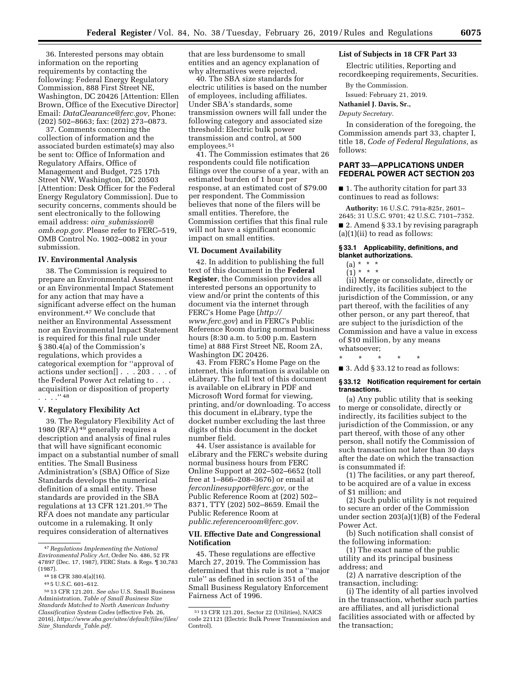36. Interested persons may obtain information on the reporting requirements by contacting the following: Federal Energy Regulatory Commission, 888 First Street NE, Washington, DC 20426 [Attention: Ellen Brown, Office of the Executive Director] Email: *[DataClearance@ferc.gov,](mailto:DataClearance@ferc.gov)* Phone: (202) 502–8663; fax: (202) 273–0873.

37. Comments concerning the collection of information and the associated burden estimate(s) may also be sent to: Office of Information and Regulatory Affairs, Office of Management and Budget, 725 17th Street NW, Washington, DC 20503 [Attention: Desk Officer for the Federal Energy Regulatory Commission]. Due to security concerns, comments should be sent electronically to the following email address: *oira*\_*[submission@](mailto:oira_submission@omb.eop.gov) [omb.eop.gov.](mailto:oira_submission@omb.eop.gov)* Please refer to FERC–519, OMB Control No. 1902–0082 in your submission.

## **IV. Environmental Analysis**

38. The Commission is required to prepare an Environmental Assessment or an Environmental Impact Statement for any action that may have a significant adverse effect on the human environment.47 We conclude that neither an Environmental Assessment nor an Environmental Impact Statement is required for this final rule under § 380.4(a) of the Commission's regulations, which provides a categorical exemption for ''approval of actions under section[] . . . 203 . . . of the Federal Power Act relating to . . . acquisition or disposition of property . . . .'' 48

## **V. Regulatory Flexibility Act**

39. The Regulatory Flexibility Act of 1980 (RFA) <sup>49</sup> generally requires a description and analysis of final rules that will have significant economic impact on a substantial number of small entities. The Small Business Administration's (SBA) Office of Size Standards develops the numerical definition of a small entity. These standards are provided in the SBA regulations at 13 CFR 121.201.50 The RFA does not mandate any particular outcome in a rulemaking. It only requires consideration of alternatives

that are less burdensome to small entities and an agency explanation of why alternatives were rejected.

40. The SBA size standards for electric utilities is based on the number of employees, including affiliates. Under SBA's standards, some transmission owners will fall under the following category and associated size threshold: Electric bulk power transmission and control, at 500 employees.51

41. The Commission estimates that 26 respondents could file notification filings over the course of a year, with an estimated burden of 1 hour per response, at an estimated cost of \$79.00 per respondent. The Commission believes that none of the filers will be small entities. Therefore, the Commission certifies that this final rule will not have a significant economic impact on small entities.

## **VI. Document Availability**

42. In addition to publishing the full text of this document in the **Federal Register**, the Commission provides all interested persons an opportunity to view and/or print the contents of this document via the internet through FERC's Home Page (*[http://](http://www.ferc.gov) [www.ferc.gov](http://www.ferc.gov)*) and in FERC's Public Reference Room during normal business hours (8:30 a.m. to 5:00 p.m. Eastern time) at 888 First Street NE, Room 2A, Washington DC 20426.

43. From FERC's Home Page on the internet, this information is available on eLibrary. The full text of this document is available on eLibrary in PDF and Microsoft Word format for viewing, printing, and/or downloading. To access this document in eLibrary, type the docket number excluding the last three digits of this document in the docket number field.

44. User assistance is available for eLibrary and the FERC's website during normal business hours from FERC Online Support at 202–502–6652 (toll free at 1–866–208–3676) or email at *[ferconlinesupport@ferc.gov,](mailto:ferconlinesupport@ferc.gov)* or the Public Reference Room at (202) 502– 8371, TTY (202) 502–8659. Email the Public Reference Room at *[public.referenceroom@ferc.gov.](mailto:public.referenceroom@ferc.gov)* 

## **VII. Effective Date and Congressional Notification**

45. These regulations are effective March 27, 2019. The Commission has determined that this rule is not a ''major rule'' as defined in section 351 of the Small Business Regulatory Enforcement Fairness Act of 1996.

# **List of Subjects in 18 CFR Part 33**

Electric utilities, Reporting and recordkeeping requirements, Securities.

By the Commission.

Issued: February 21, 2019.

## **Nathaniel J. Davis, Sr.,**

*Deputy Secretary.* 

In consideration of the foregoing, the Commission amends part 33, chapter I, title 18, *Code of Federal Regulations,* as follows:

# **PART 33—APPLICATIONS UNDER FEDERAL POWER ACT SECTION 203**

■ 1. The authority citation for part 33 continues to read as follows:

**Authority:** 16 U.S.C. 791a-825r, 2601– 2645; 31 U.S.C. 9701; 42 U.S.C. 7101–7352. ■ 2. Amend § 33.1 by revising paragraph (a)(1)(ii) to read as follows:

# **§ 33.1 Applicability, definitions, and blanket authorizations.**

# $(a) * * * *$

 $(1) * * * *$ 

(ii) Merge or consolidate, directly or indirectly, its facilities subject to the jurisdiction of the Commission, or any part thereof, with the facilities of any other person, or any part thereof, that are subject to the jurisdiction of the Commission and have a value in excess of \$10 million, by any means whatsoever;

\* \* \* \* \*

■ 3. Add § 33.12 to read as follows:

## **§ 33.12 Notification requirement for certain transactions.**

(a) Any public utility that is seeking to merge or consolidate, directly or indirectly, its facilities subject to the jurisdiction of the Commission, or any part thereof, with those of any other person, shall notify the Commission of such transaction not later than 30 days after the date on which the transaction is consummated if:

(1) The facilities, or any part thereof, to be acquired are of a value in excess of \$1 million; and

(2) Such public utility is not required to secure an order of the Commission under section 203(a)(1)(B) of the Federal Power Act.

(b) Such notification shall consist of the following information:

(1) The exact name of the public utility and its principal business address; and

(2) A narrative description of the transaction, including:

(i) The identity of all parties involved in the transaction, whether such parties are affiliates, and all jurisdictional facilities associated with or affected by the transaction;

<sup>47</sup>*Regulations Implementing the National Environmental Policy Act,* Order No. 486, 52 FR 47897 (Dec. 17, 1987), FERC Stats. & Regs. ¶ 30,783 (1987).

<sup>48</sup> 18 CFR 380.4(a)(16).

<sup>49</sup> 5 U.S.C. 601–612.

<sup>50</sup> 13 CFR 121.201. *See also* U.S. Small Business Administration, *Table of Small Business Size Standards Matched to North American Industry Classification System Codes* (effective Feb. 26, 2016), *[https://www.sba.gov/sites/default/files/files/](https://www.sba.gov/sites/default/files/files/Size_Standards_Table.pdf)  Size*\_*Standards*\_*[Table.pdf.](https://www.sba.gov/sites/default/files/files/Size_Standards_Table.pdf)* 

<sup>51</sup> 13 CFR 121.201, Sector 22 (Utilities), NAICS code 221121 (Electric Bulk Power Transmission and Control).